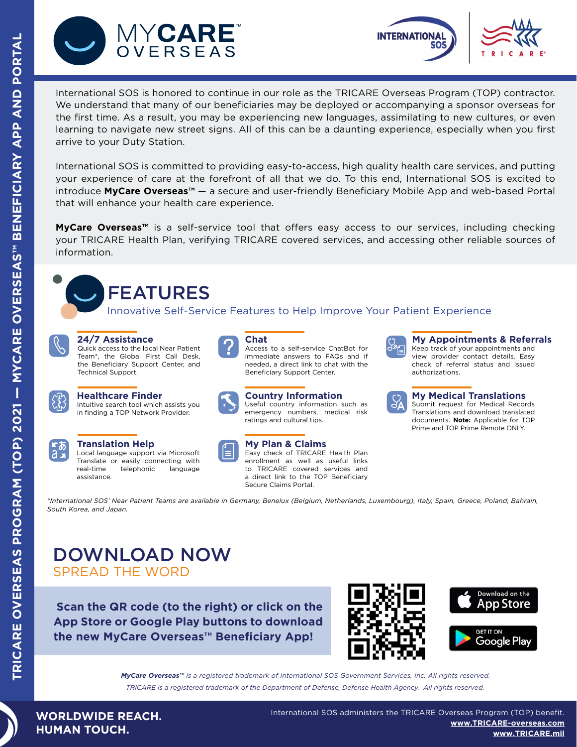



International SOS is honored to continue in our role as the TRICARE Overseas Program (TOP) contractor. We understand that many of our beneficiaries may be deployed or accompanying a sponsor overseas for the first time. As a result, you may be experiencing new languages, assimilating to new cultures, or even learning to navigate new street signs. All of this can be a daunting experience, especially when you first arrive to your Duty Station.

International SOS is committed to providing easy-to-access, high quality health care services, and putting your experience of care at the forefront of all that we do. To this end, International SOS is excited to introduce **MyCare Overseas™** — a secure and user-friendly Beneficiary Mobile App and web-based Portal that will enhance your health care experience.

**MyCare Overseas™** is a self-service tool that offers easy access to our services, including checking your TRICARE Health Plan, verifying TRICARE covered services, and accessing other reliable sources of information.



Innovative Self-Service Features to Help Improve Your Patient Experience



### **24/7 Assistance**

Quick access to the local Near Patient Team\*, the Global First Call Desk, the Beneficiary Support Center, and Technical Support.



### **Healthcare Finder**

Intuitive search tool which assists you in finding a TOP Network Provider.



### **Translation Help**

Local language support via Microsoft Translate or easily connecting with real-time telephonic language assistance.



**Chat** Access to a self-service ChatBot for immediate answers to FAQs and if needed, a direct link to chat with the Beneficiary Support Center.



## **Country Information**

Useful country information such as emergency numbers, medical risk ratings and cultural tips.



## **My Plan & Claims**

Easy check of TRICARE Health Plan enrollment as well as useful links to TRICARE covered services and a direct link to the TOP Beneficiary Secure Claims Portal.



**My Appointments & Referrals** Keep track of your appointments and view provider contact details. Easy check of referral status and issued authorizations.



### **My Medical Translations**

Submit request for Medical Records Translations and download translated documents. **Note:** Applicable for TOP Prime and TOP Prime Remote ONLY.

*\*International SOS' Near Patient Teams are available in Germany, Benelux (Belgium, Netherlands, Luxembourg), Italy, Spain, Greece, Poland, Bahrain, South Korea, and Japan.*

## DOWNLOAD NOW SPREAD THE WORD

 **Scan the QR code (to the right) or click on the App Store or Google Play buttons to download the new MyCare Overseas™ Beneficiary App!**





*MyCare Overseas™ is a registered trademark of International SOS Government Services, Inc. All ri[ghts reserved.](https://play.google.com/store/apps/details?id=mil.tricare.mobile.mycare) TRICARE is a registered trademark of the Department of Defense, Defense Health Agency. All rights reserved.*

**WORLDWIDE REACH. HUMAN TOUCH.**

International SOS administers the TRICARE Overseas Program (TOP) benefit. **[www.TRICARE-overseas.com](http://www.TRICARE-overseas.com) [www.TRICARE.mil](https://www.tricare.mil/)**